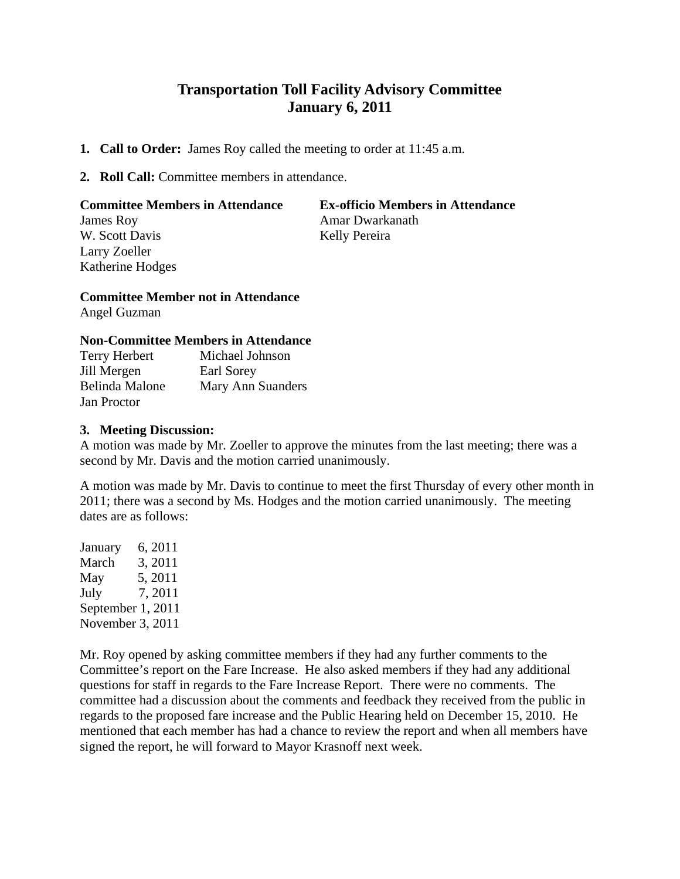# **Transportation Toll Facility Advisory Committee January 6, 2011**

- **1. Call to Order:** James Roy called the meeting to order at 11:45 a.m.
- **2. Roll Call:** Committee members in attendance.

# **Committee Members in Attendance Ex-officio Members in Attendance** James Roy **Amar Dwarkanath** W. Scott Davis Kelly Pereira Larry Zoeller Katherine Hodges

## **Committee Member not in Attendance**

Angel Guzman

### **Non-Committee Members in Attendance**

| <b>Terry Herbert</b> | Michael Johnson   |
|----------------------|-------------------|
| Jill Mergen          | Earl Sorey        |
| Belinda Malone       | Mary Ann Suanders |
| Jan Proctor          |                   |

### **3. Meeting Discussion:**

A motion was made by Mr. Zoeller to approve the minutes from the last meeting; there was a second by Mr. Davis and the motion carried unanimously.

A motion was made by Mr. Davis to continue to meet the first Thursday of every other month in 2011; there was a second by Ms. Hodges and the motion carried unanimously. The meeting dates are as follows:

January 6, 2011 March 3, 2011 May 5, 2011 July 7, 2011 September 1, 2011 November 3, 2011

Mr. Roy opened by asking committee members if they had any further comments to the Committee's report on the Fare Increase. He also asked members if they had any additional questions for staff in regards to the Fare Increase Report. There were no comments. The committee had a discussion about the comments and feedback they received from the public in regards to the proposed fare increase and the Public Hearing held on December 15, 2010. He mentioned that each member has had a chance to review the report and when all members have signed the report, he will forward to Mayor Krasnoff next week.